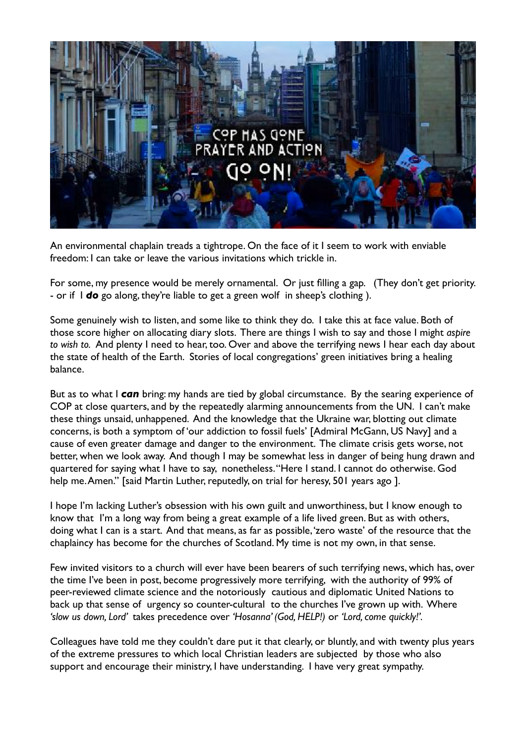

An environmental chaplain treads a tightrope. On the face of it I seem to work with enviable freedom: I can take or leave the various invitations which trickle in.

For some, my presence would be merely ornamental. Or just filling a gap. (They don't get priority. - or if I *do* go along, they're liable to get a green wolf in sheep's clothing ).

Some genuinely wish to listen, and some like to think they do. I take this at face value. Both of those score higher on allocating diary slots. There are things I wish to say and those I might *aspire to wish to.* And plenty I need to hear, too. Over and above the terrifying news I hear each day about the state of health of the Earth. Stories of local congregations' green initiatives bring a healing balance.

But as to what I *can* bring: my hands are tied by global circumstance. By the searing experience of COP at close quarters, and by the repeatedly alarming announcements from the UN. I can't make these things unsaid, unhappened. And the knowledge that the Ukraine war, blotting out climate concerns, is both a symptom of 'our addiction to fossil fuels' [Admiral McGann, US Navy] and a cause of even greater damage and danger to the environment. The climate crisis gets worse, not better, when we look away. And though I may be somewhat less in danger of being hung drawn and quartered for saying what I have to say, nonetheless. "Here I stand. I cannot do otherwise. God help me. Amen." [said Martin Luther, reputedly, on trial for heresy, 501 years ago ].

I hope I'm lacking Luther's obsession with his own guilt and unworthiness, but I know enough to know that I'm a long way from being a great example of a life lived green. But as with others, doing what I can is a start. And that means, as far as possible, 'zero waste' of the resource that the chaplaincy has become for the churches of Scotland. My time is not my own, in that sense.

Few invited visitors to a church will ever have been bearers of such terrifying news, which has, over the time I've been in post, become progressively more terrifying, with the authority of 99% of peer-reviewed climate science and the notoriously cautious and diplomatic United Nations to back up that sense of urgency so counter-cultural to the churches I've grown up with. Where *'slow us down, Lord'* takes precedence over *'Hosanna' (God, HELP!)* or *'Lord, come quickly!'.*

Colleagues have told me they couldn't dare put it that clearly, or bluntly, and with twenty plus years of the extreme pressures to which local Christian leaders are subjected by those who also support and encourage their ministry, I have understanding. I have very great sympathy.